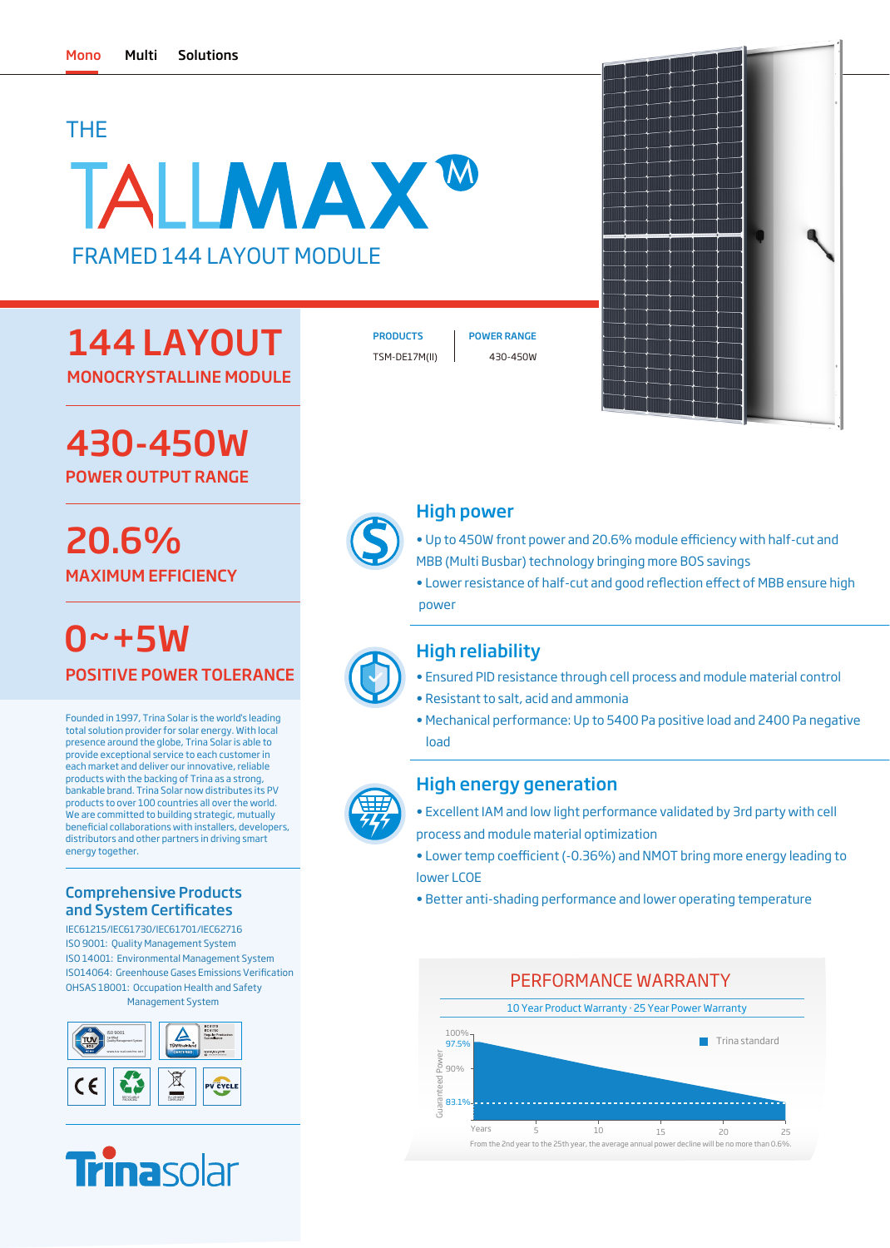# THE

# TALLMAX<sup>W</sup> FRAMED 144 LAYOUT MODULE

# 144 LAYOUT MONOCRYSTALLINE MODULE

430-450W POWER OUTPUT RANGE

# 20.6% MAXIMUM EFFICIENCY

POSITIVE POWER TOLERANCE  $0 - + 5W$ 

Founded in 1997, Trina Solar is the world's leading total solution provider for solar energy. With local presence around the globe, Trina Solar is able to provide exceptional service to each customer in each market and deliver our innovative, reliable products with the backing of Trina as a strong, bankable brand. Trina Solar now distributes its PV products to over 100 countries all over the world. We are committed to building strategic, mutually beneficial collaborations with installers, developers distributors and other partners in driving smart energy together.

## Comprehensive Products and System Certificates

IEC61215/IEC61730/IEC61701/IEC62716 ISO 9001: Quality Management System ISO 14001: Environmental Management System OHSAS 18001: Occupation Health and Safety Management System ISO14064: Greenhouse Gases Emissions Verification





TSM-DE17M(II) 430-450W PRODUCTS | POWER RANGE



## High power

- Up to 450W front power and 20.6% module efficiency with half-cut and MBB (Multi Busbar) technology bringing more BOS savings
- Lower resistance of half-cut and good reflection effect of MBB ensure high power



# High reliability

- Ensured PID resistance through cell process and module material control
- Resistant to salt, acid and ammonia
- Mechanical performance: Up to 5400 Pa positive load and 2400 Pa negative load



## High energy generation

- Excellent IAM and low light performance validated by 3rd party with cell process and module material optimization
- Lower temp coefficient (-0.36%) and NMOT bring more energy leading to lower LCOE
- Better anti-shading performance and lower operating temperature